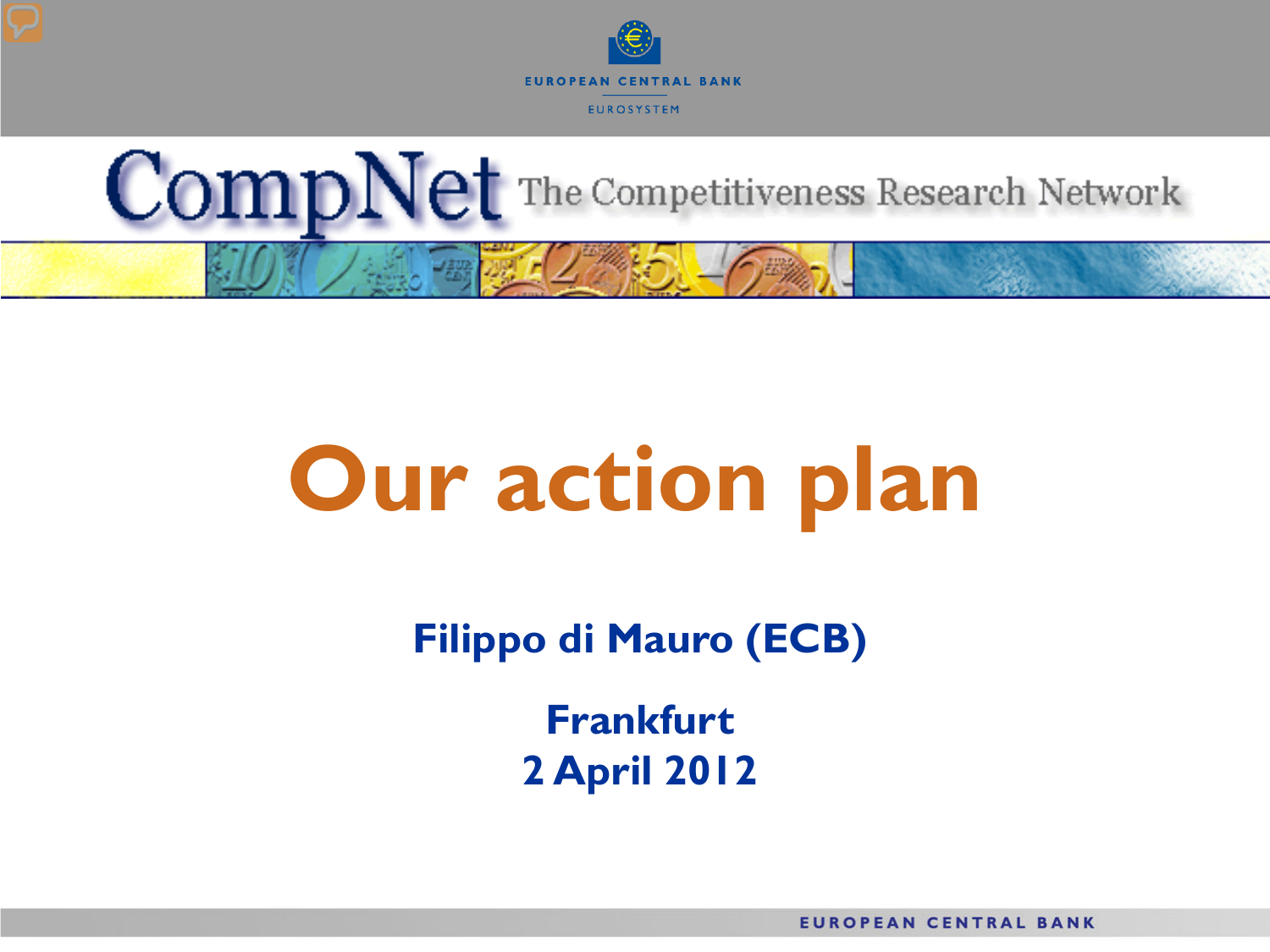



# **Our action plan**

**Filippo di Mauro (ECB)**

**Frankfurt 2 April 2012**

**EUROPEAN CENTRAL BANK**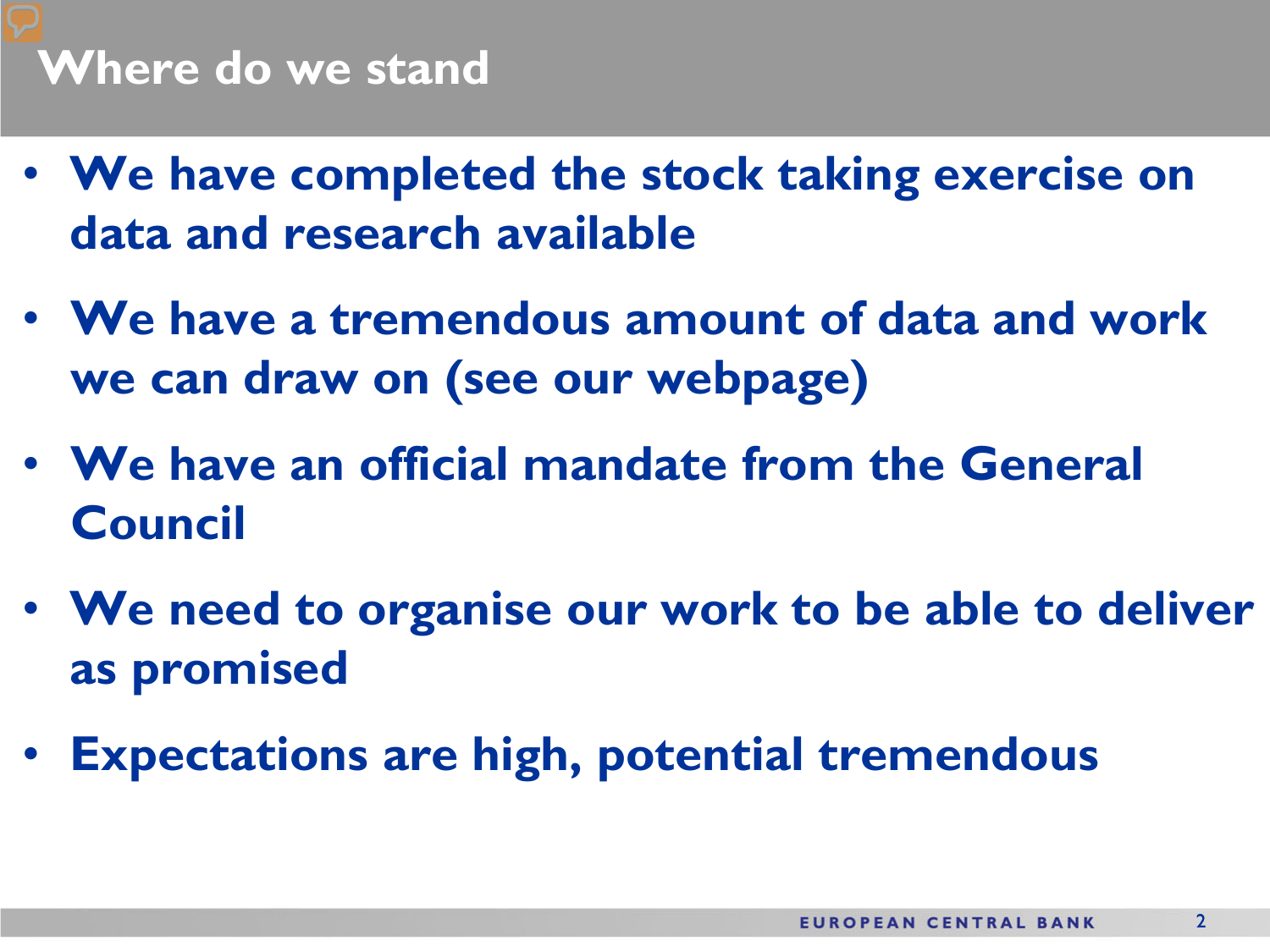- **We have completed the stock taking exercise on data and research available**
- **We have a tremendous amount of data and work we can draw on (see our webpage)**
- **We have an official mandate from the General Council**
- **We need to organise our work to be able to deliver as promised**
- **Expectations are high, potential tremendous**

 $\mathcal{L}$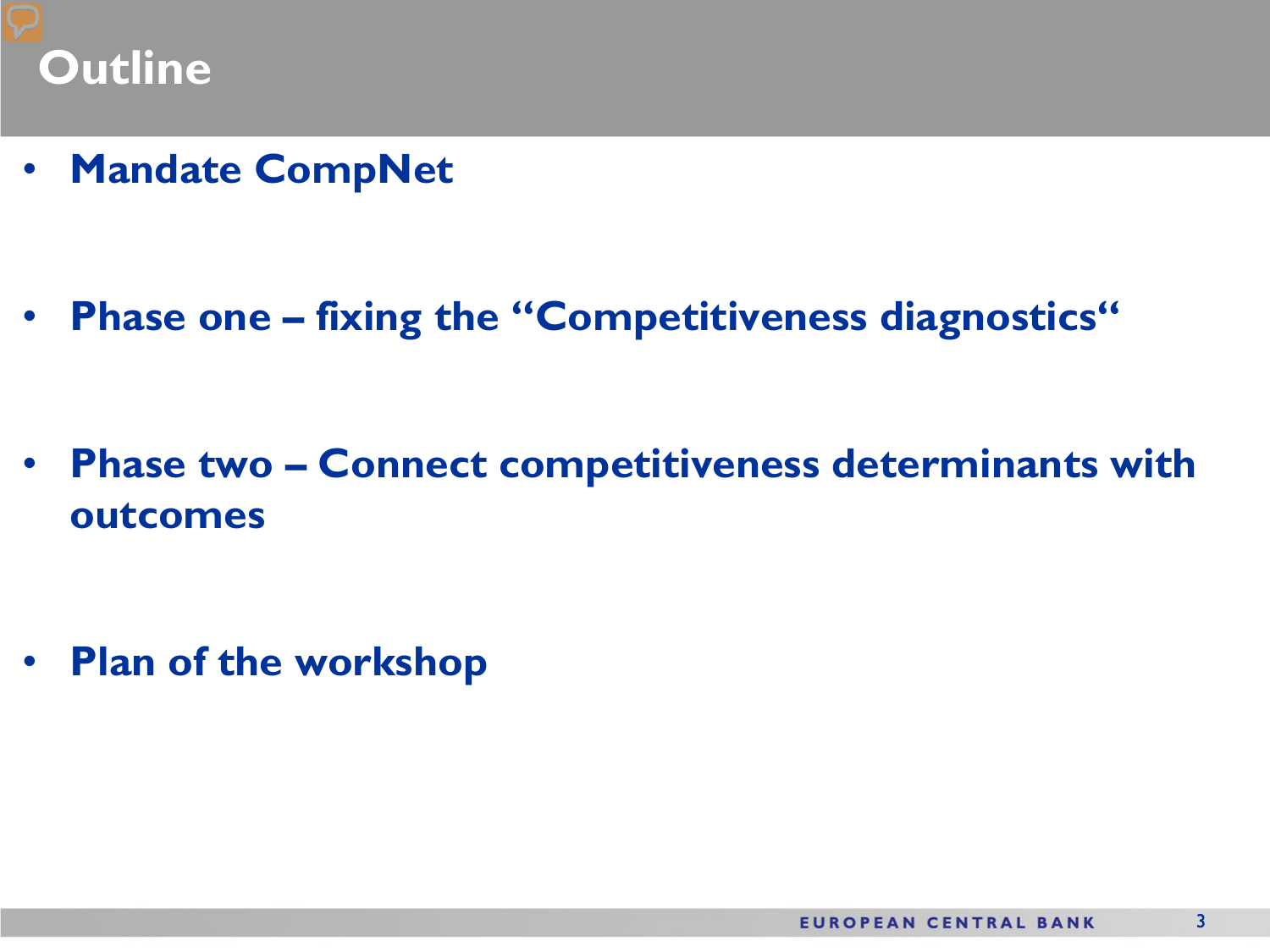### **Outline**

• **Mandate CompNet**

• **Phase one – fixing the "Competitiveness diagnostics"**

• **Phase two – Connect competitiveness determinants with outcomes**

• **Plan of the workshop**

3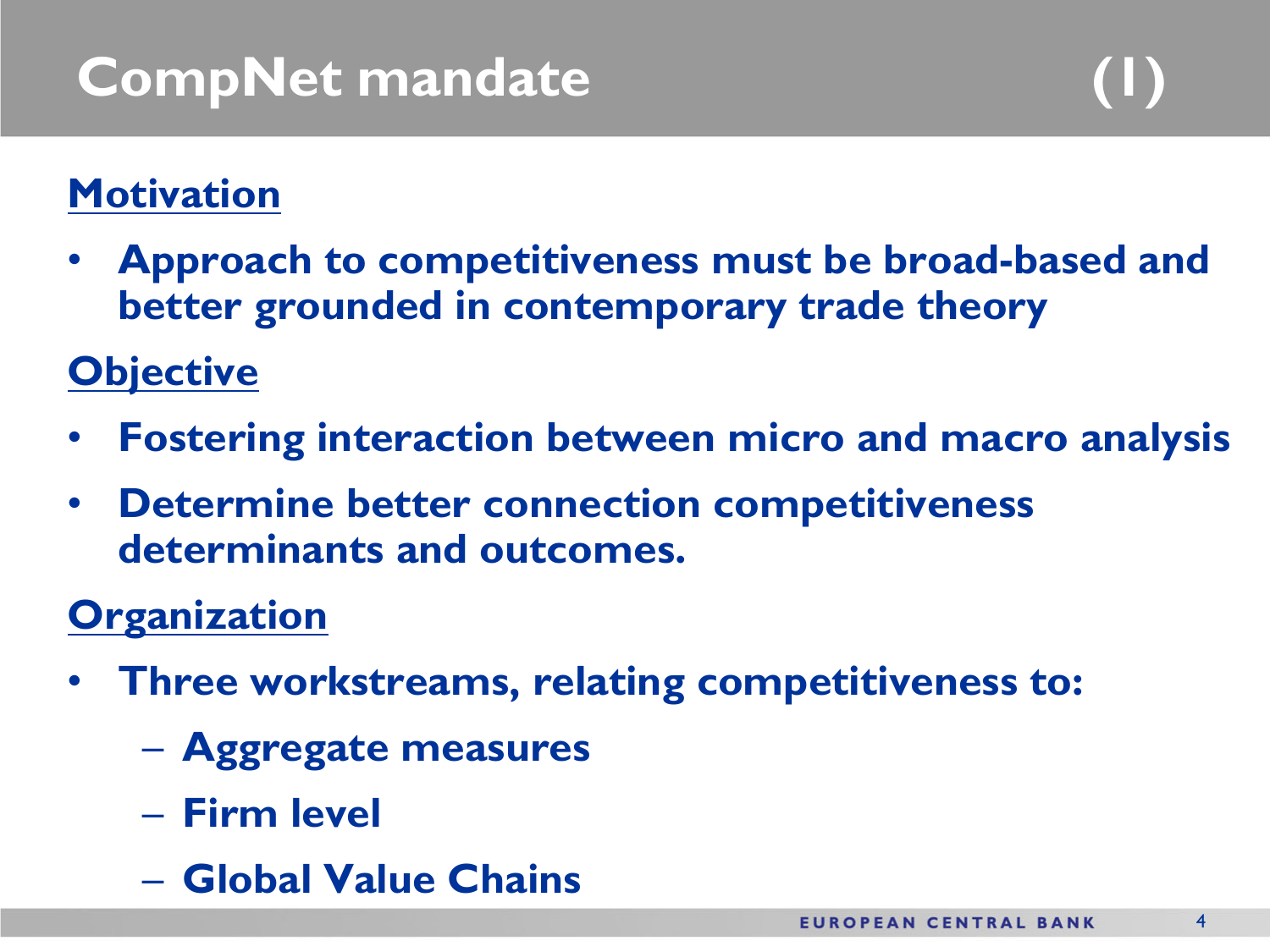### **Motivation**

• **Approach to competitiveness must be broad-based and better grounded in contemporary trade theory** 

### **Objective**

- **Fostering interaction between micro and macro analysis**
- **Determine better connection competitiveness determinants and outcomes.**

### **Organization**

- **Three workstreams, relating competitiveness to:**
	- **Aggregate measures**
	- **Firm level**
	- **Global Value Chains**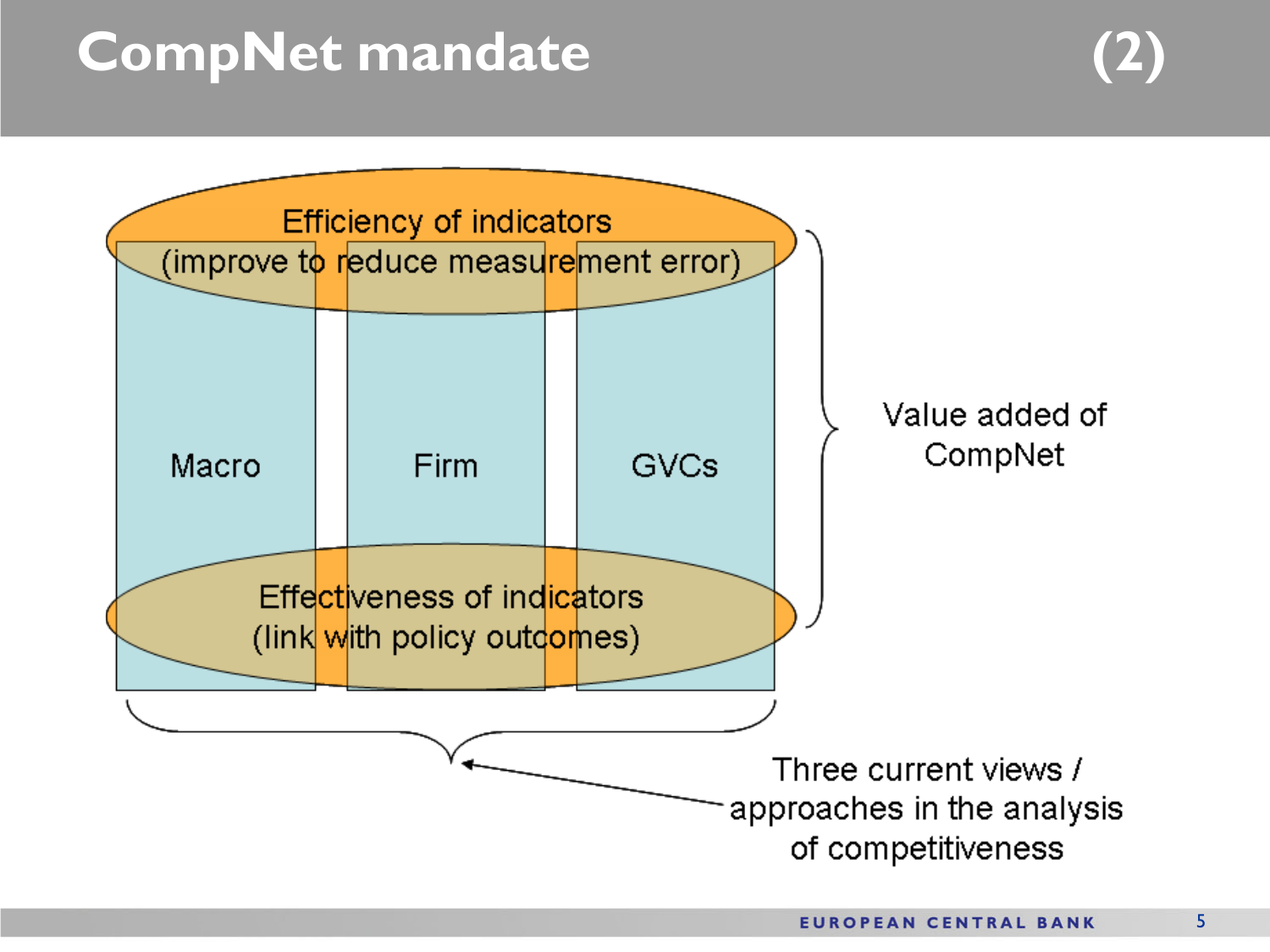### **CompNet mandate (2)**

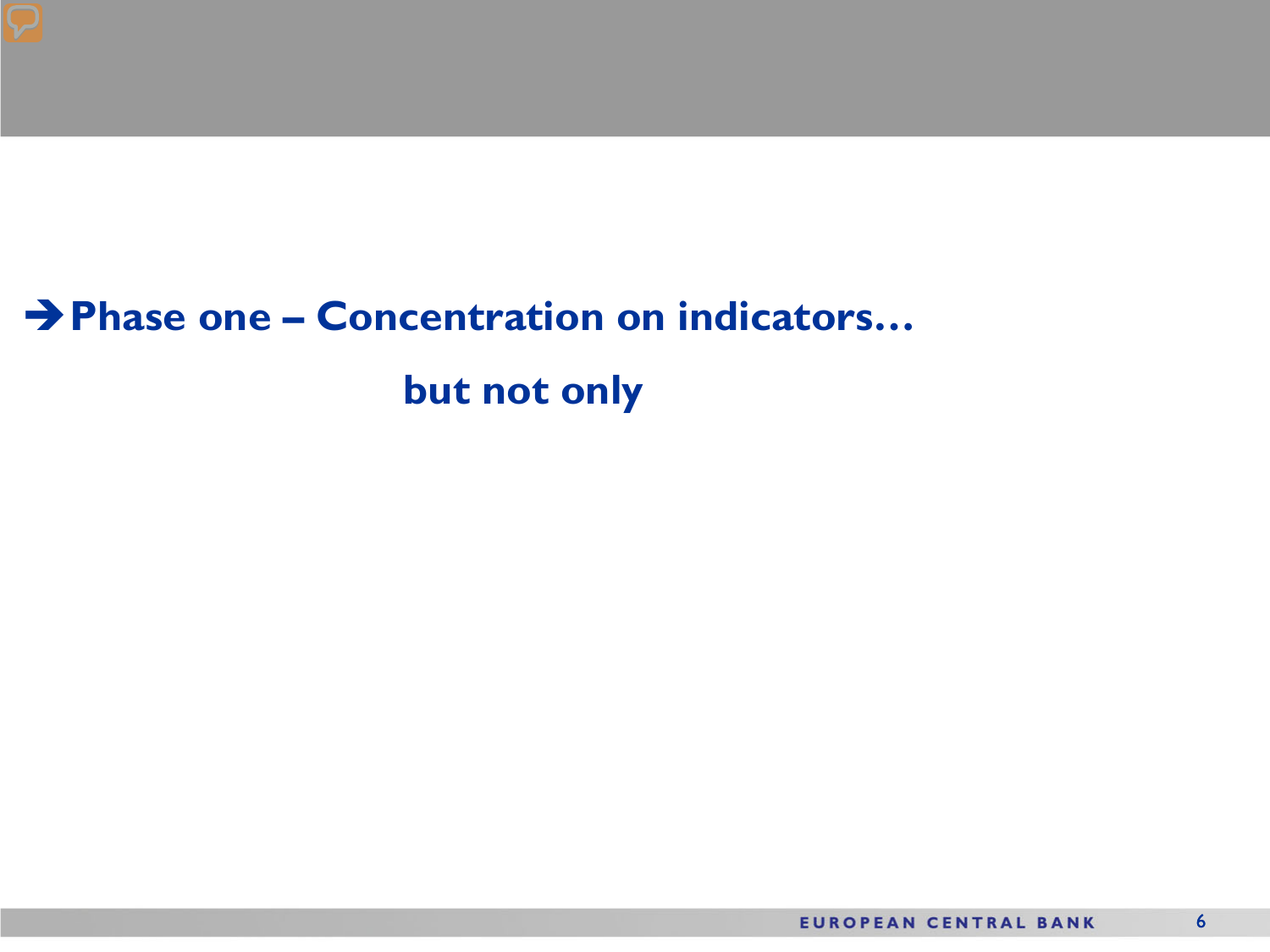### **Phase one – Concentration on indicators… but not only**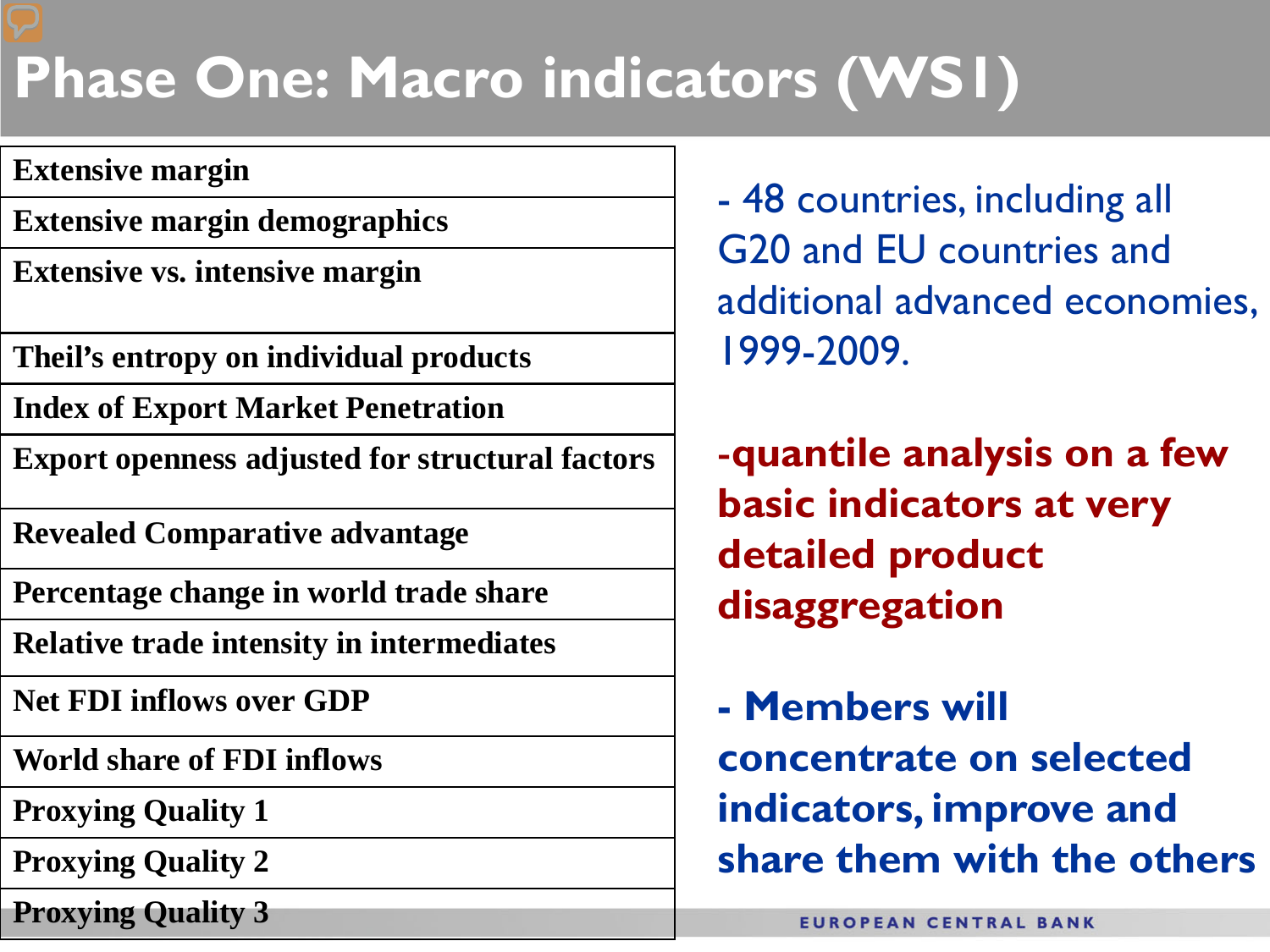### **Phase One: Macro indicators (WS1)**

#### **Extensive margin**

- **Extensive margin demographics**
- **Extensive vs. intensive margin**
- **Theil's entropy on individual products**
- **Index of Export Market Penetration**
- **Export openness adjusted for structural factors**
- **Revealed Comparative advantage**
- **Percentage change in world trade share**
- **Relative trade intensity in intermediates**
- **Net FDI inflows over GDP**
- **World share of FDI inflows**
- **Proxying Quality 1**
- **Proxying Quality 2**
- **Proxying Quality 3**
- 48 countries, including all G20 and EU countries and additional advanced economies, 1999-2009.
- -**quantile analysis on a few basic indicators at very detailed product disaggregation**
- **- Members will concentrate on selected indicators, improve and share them with the others**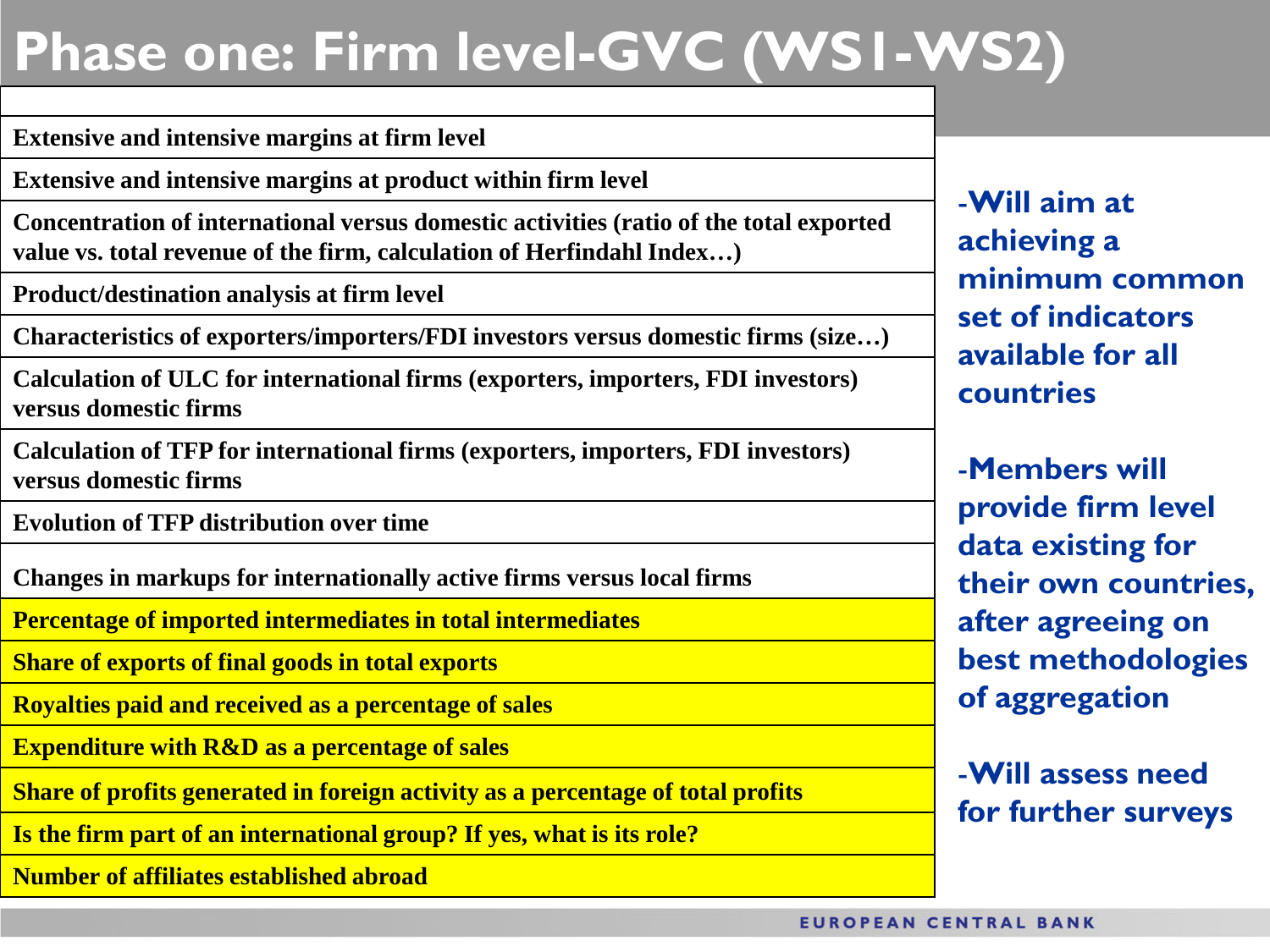### **Phase one: Firm level-GVC (WS1-WS2)**

#### **Extensive and intensive margins at firm level**

**Extensive and intensive margins at product within firm level**

**Concentration of international versus domestic activities (ratio of the total exported value vs. total revenue of the firm, calculation of Herfindahl Index…)**

**Product/destination analysis at firm level**

**Characteristics of exporters/importers/FDI investors versus domestic firms (size…)**

**Calculation of ULC for international firms (exporters, importers, FDI investors) versus domestic firms**

**Calculation of TFP for international firms (exporters, importers, FDI investors) versus domestic firms**

**Evolution of TFP distribution over time**

**Changes in markups for internationally active firms versus local firms**

**Percentage of imported intermediates in total intermediates**

**Share of exports of final goods in total exports** 

**Royalties paid and received as a percentage of sales**

**Expenditure with R&D as a percentage of sales**

**Share of profits generated in foreign activity as a percentage of total profits**

**Is the firm part of an international group? If yes, what is its role?**

**Number of affiliates established abroad**

-**Will aim at achieving a minimum common set of indicators available for all countries**

-**Members will provide firm level data existing for their own countries, after agreeing on best methodologies of aggregation**

-**Will assess need for further surveys**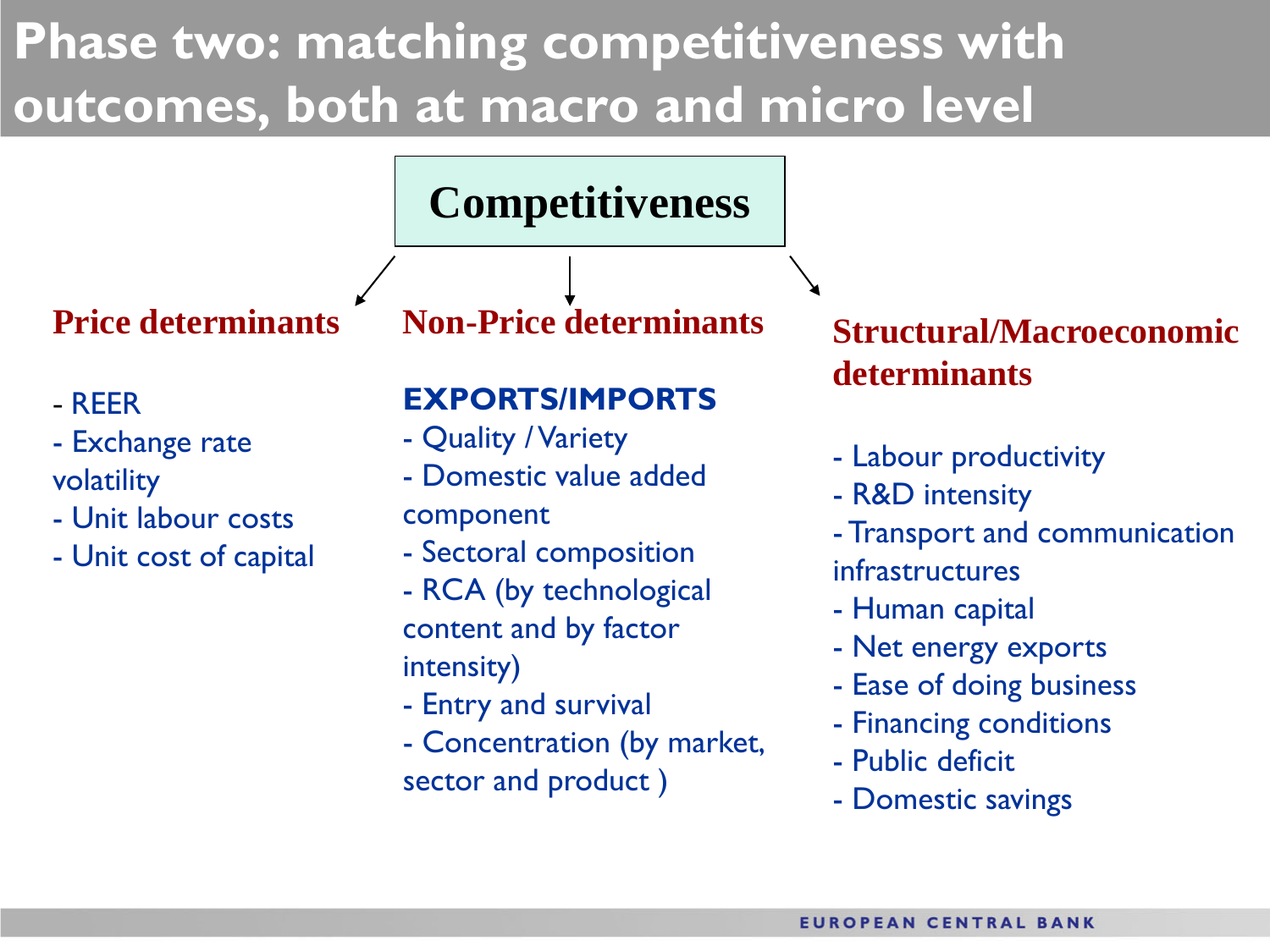### **Phase two: matching competitiveness with outcomes, both at macro and micro level**

### **Competitiveness**

**Price determinants**

#### - REER

- Exchange rate volatility
- Unit labour costs
- Unit cost of capital

**Non-Price determinants**

#### **EXPORTS/IMPORTS**

- Quality / Variety
- Domestic value added
- component
- Sectoral composition
- RCA (by technological content and by factor intensity)
- Entry and survival
- Concentration (by market, sector and product )

### **Structural/Macroeconomic determinants**

- Labour productivity
- R&D intensity
- Transport and communication infrastructures
- Human capital
- Net energy exports
- Ease of doing business
- Financing conditions
- Public deficit
- Domestic savings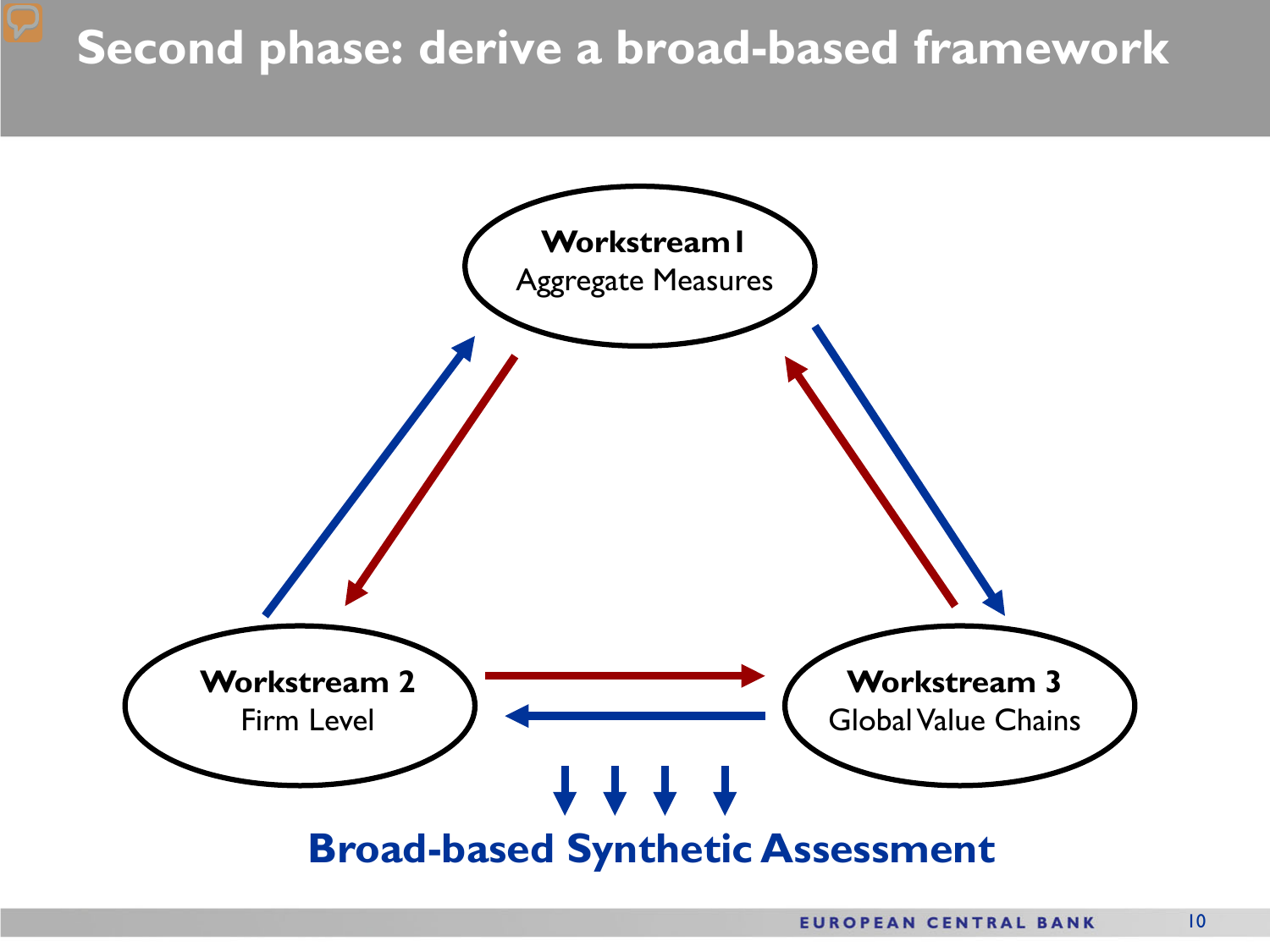### **Second phase: derive a broad-based framework**

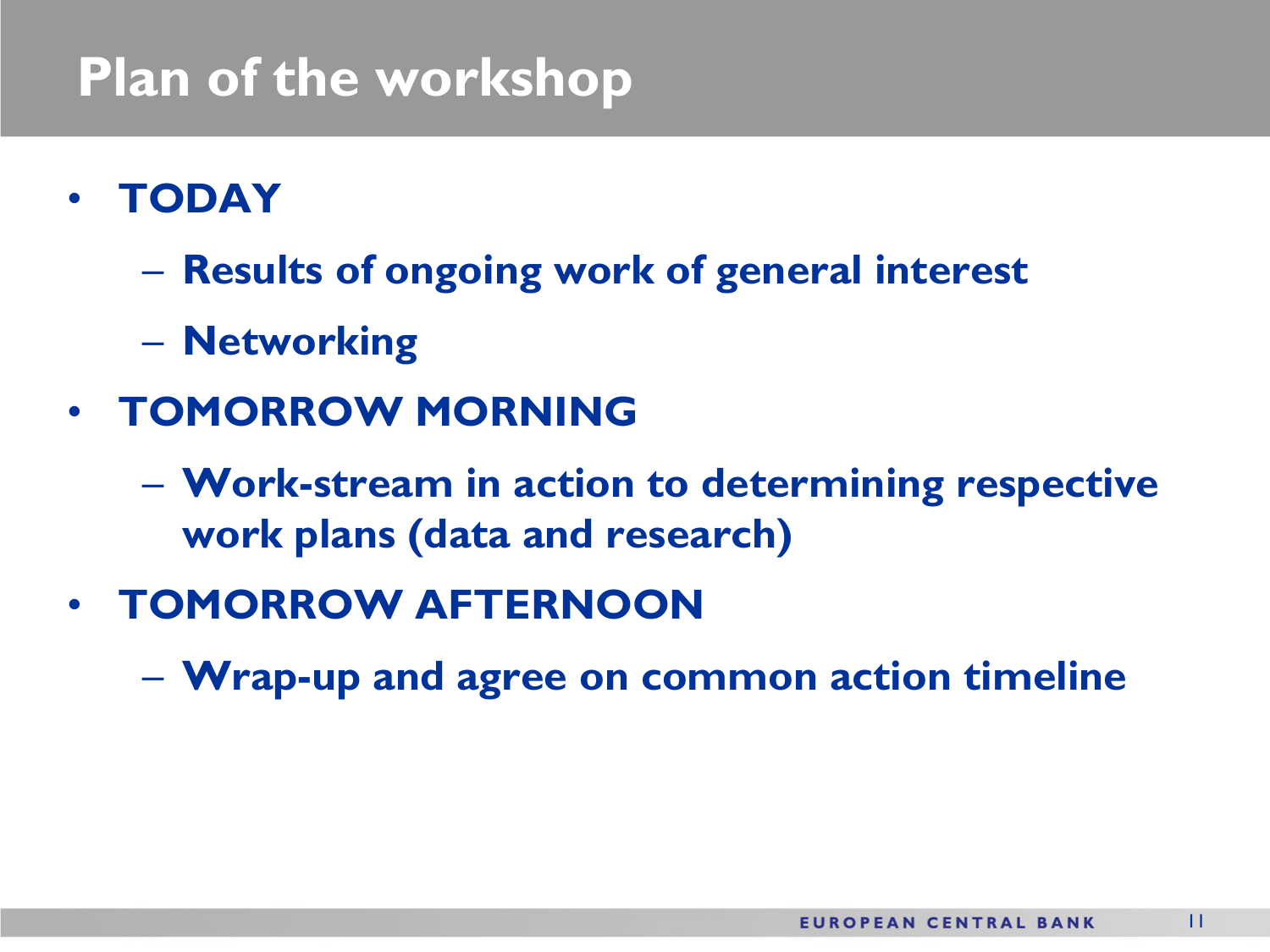### **Plan of the workshop**

- **TODAY**
	- **Results of ongoing work of general interest**
	- **Networking**
- **TOMORROW MORNING**
	- **Work-stream in action to determining respective work plans (data and research)**
- **TOMORROW AFTERNOON**
	- **Wrap-up and agree on common action timeline**

11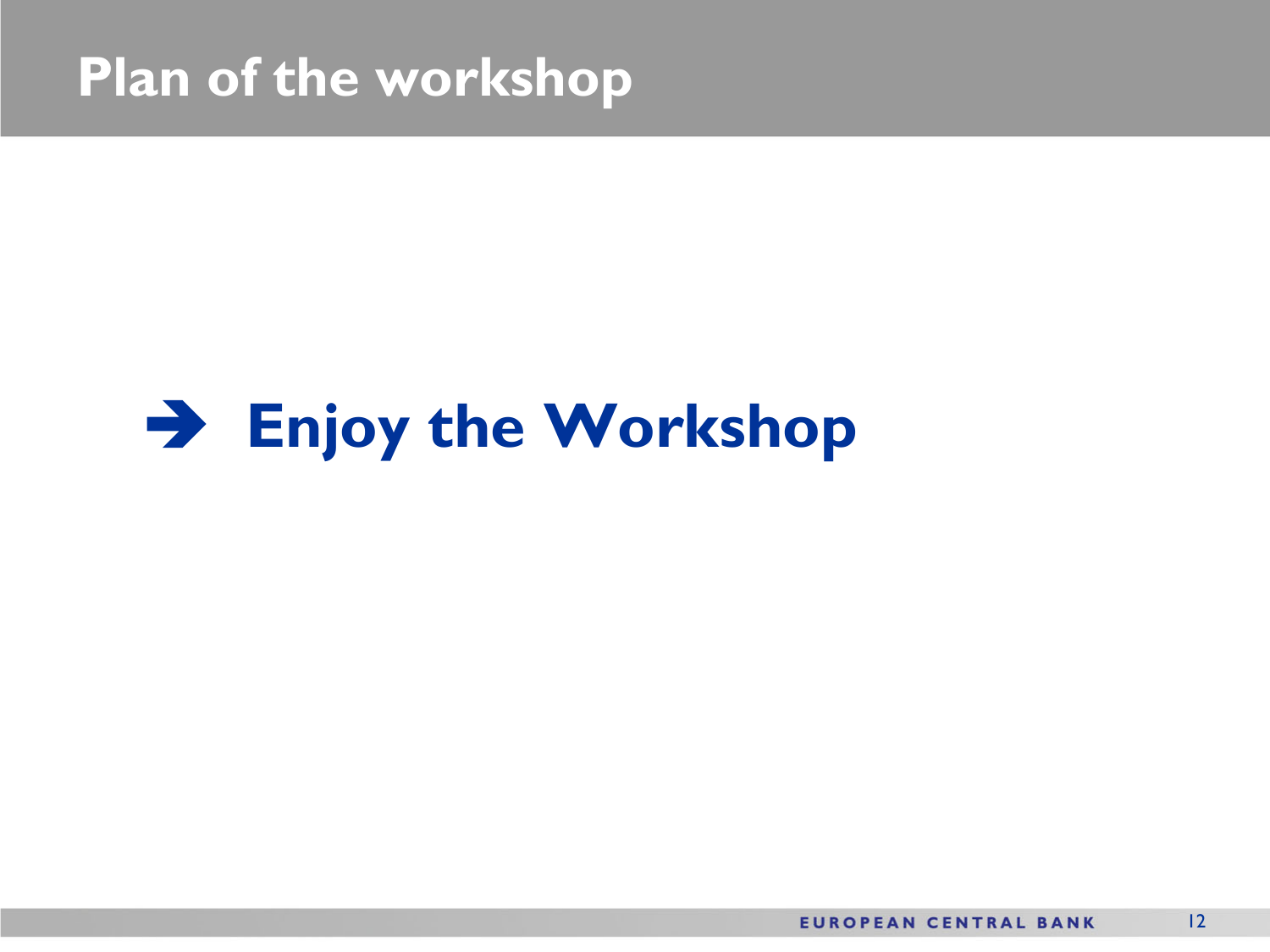### **Plan of the workshop**

### **Enjoy the Workshop**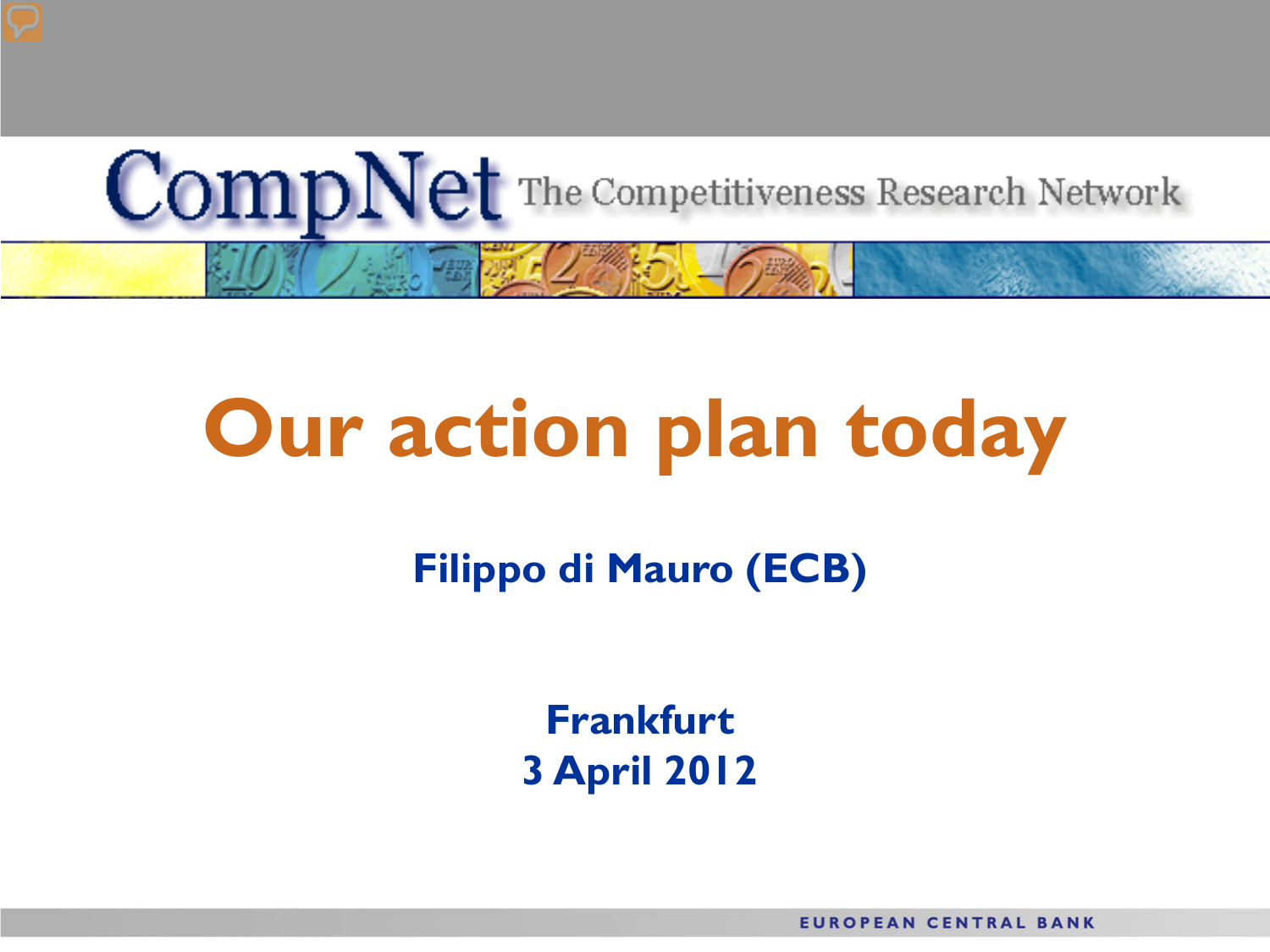

# **Our action plan today**

**Filippo di Mauro (ECB)**

**Frankfurt 3 April 2012**

**EUROPEAN CENTRAL BANK**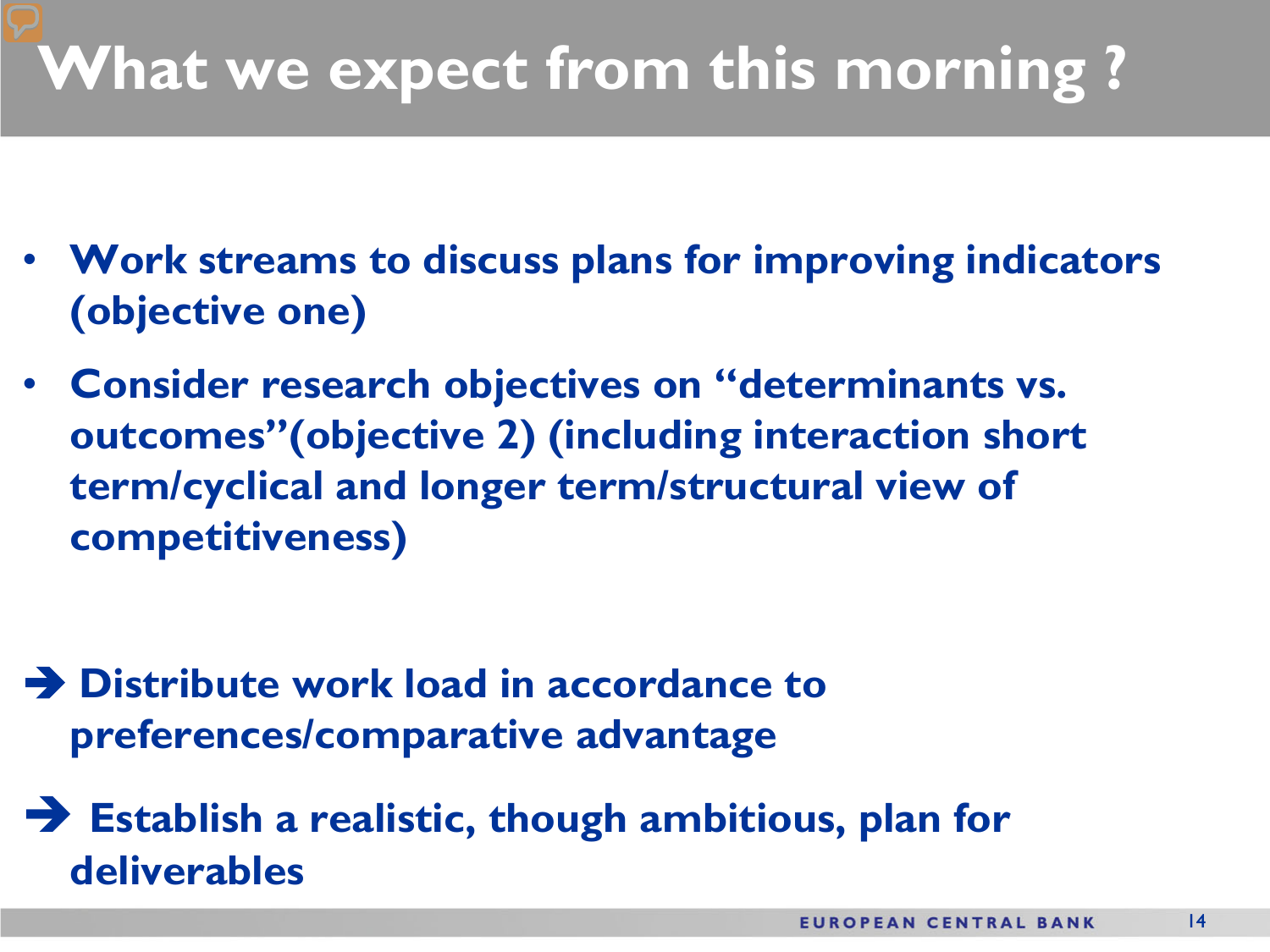## **What we expect from this morning ?**

- **Work streams to discuss plans for improving indicators (objective one)**
- **Consider research objectives on "determinants vs. outcomes"(objective 2) (including interaction short term/cyclical and longer term/structural view of competitiveness)**

- **Distribute work load in accordance to preferences/comparative advantage**
- **Establish a realistic, though ambitious, plan for deliverables**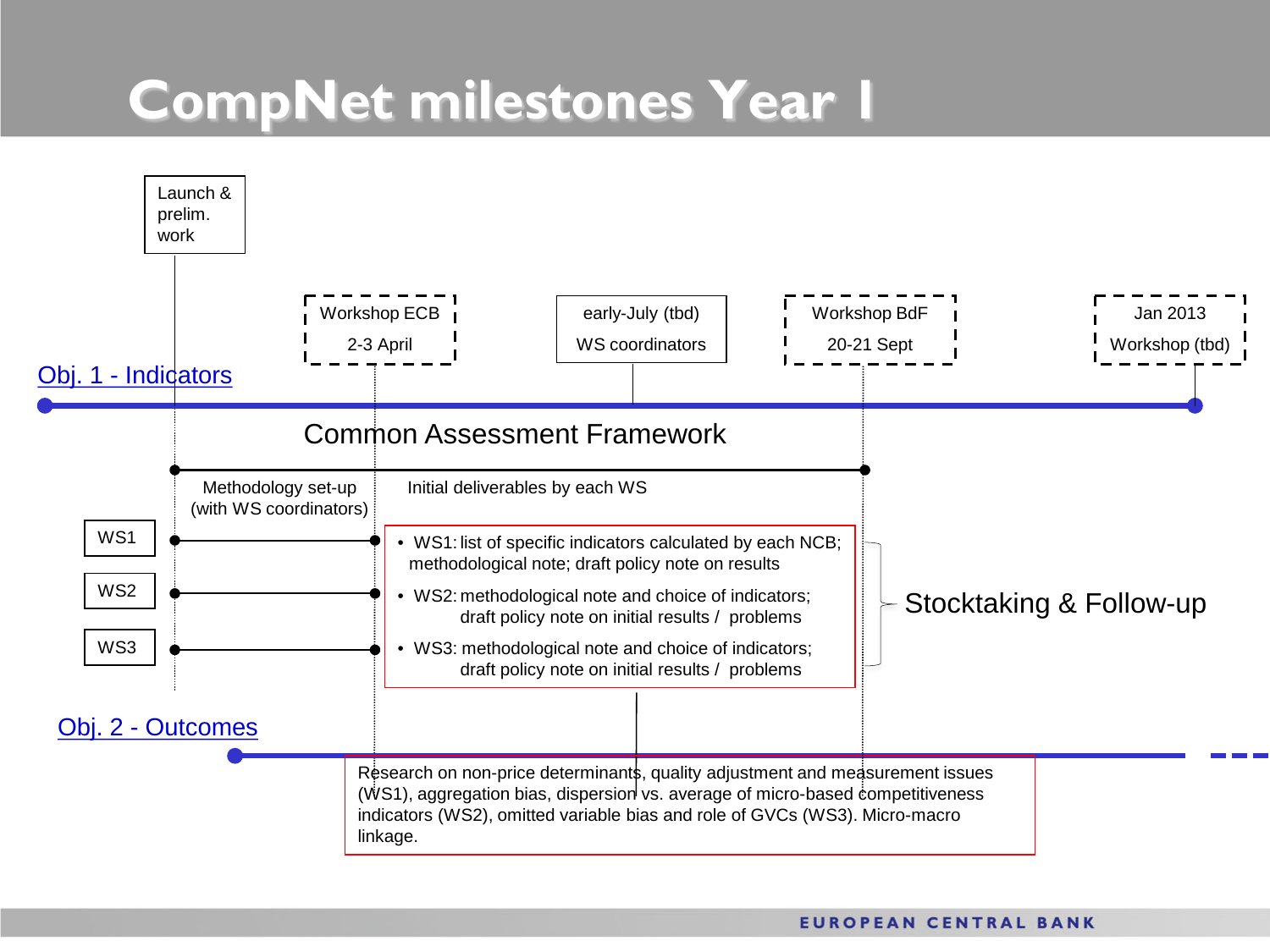### **CompNet milestones Year 1**

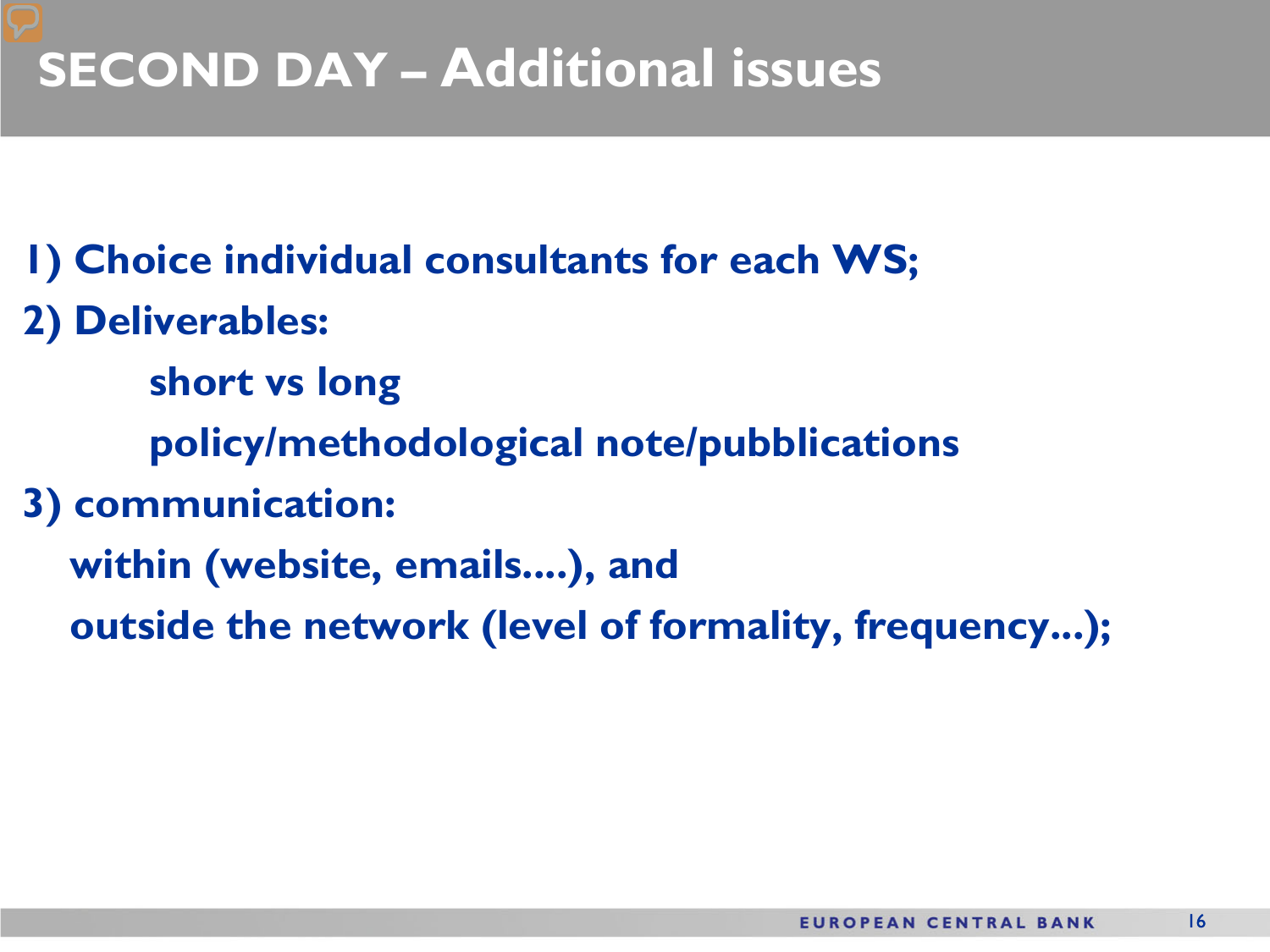### **SECOND DAY – Additional issues**

- **1) Choice individual consultants for each WS;**
- **2) Deliverables:** 
	- **short vs long**
	- **policy/methodological note/pubblications**
- **3) communication:** 
	- **within (website, emails....), and** 
		- **outside the network (level of formality, frequency...);**